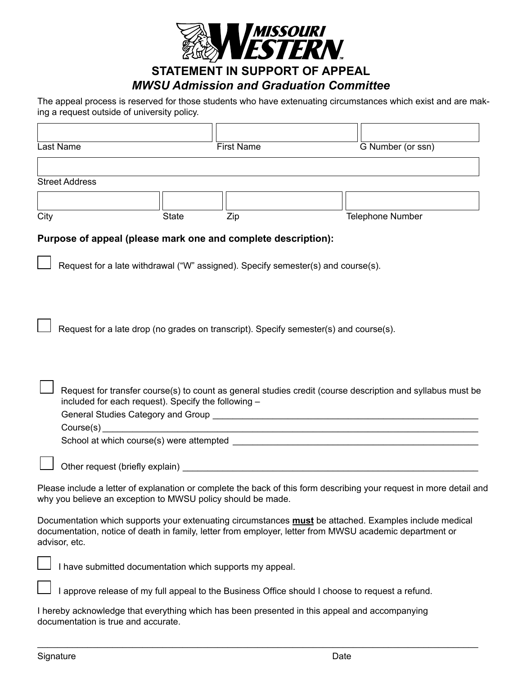

## *MWSU Admission and Graduation Committee*

The appeal process is reserved for those students who have extenuating circumstances which exist and are making a request outside of university policy.

| Last Name                           |              | <b>First Name</b>                                             |                                                                                                 | G Number (or ssn)                                                                                                                                                                                                 |
|-------------------------------------|--------------|---------------------------------------------------------------|-------------------------------------------------------------------------------------------------|-------------------------------------------------------------------------------------------------------------------------------------------------------------------------------------------------------------------|
|                                     |              |                                                               |                                                                                                 |                                                                                                                                                                                                                   |
| <b>Street Address</b>               |              |                                                               |                                                                                                 |                                                                                                                                                                                                                   |
|                                     |              |                                                               |                                                                                                 |                                                                                                                                                                                                                   |
| City                                | <b>State</b> | Zip                                                           |                                                                                                 | <b>Telephone Number</b>                                                                                                                                                                                           |
|                                     |              | Purpose of appeal (please mark one and complete description): |                                                                                                 |                                                                                                                                                                                                                   |
|                                     |              |                                                               | Request for a late withdrawal ("W" assigned). Specify semester(s) and course(s).                |                                                                                                                                                                                                                   |
|                                     |              |                                                               | Request for a late drop (no grades on transcript). Specify semester(s) and course(s).           |                                                                                                                                                                                                                   |
|                                     |              | included for each request). Specify the following -           |                                                                                                 | Request for transfer course(s) to count as general studies credit (course description and syllabus must be                                                                                                        |
|                                     |              |                                                               |                                                                                                 |                                                                                                                                                                                                                   |
|                                     |              | why you believe an exception to MWSU policy should be made.   |                                                                                                 | Please include a letter of explanation or complete the back of this form describing your request in more detail and                                                                                               |
| advisor, etc.                       |              |                                                               |                                                                                                 | Documentation which supports your extenuating circumstances must be attached. Examples include medical<br>documentation, notice of death in family, letter from employer, letter from MWSU academic department or |
|                                     |              | I have submitted documentation which supports my appeal.      |                                                                                                 |                                                                                                                                                                                                                   |
|                                     |              |                                                               | I approve release of my full appeal to the Business Office should I choose to request a refund. |                                                                                                                                                                                                                   |
| documentation is true and accurate. |              |                                                               | I hereby acknowledge that everything which has been presented in this appeal and accompanying   |                                                                                                                                                                                                                   |

\_\_\_\_\_\_\_\_\_\_\_\_\_\_\_\_\_\_\_\_\_\_\_\_\_\_\_\_\_\_\_\_\_\_\_\_\_\_\_\_\_\_\_\_\_\_\_\_\_\_\_\_\_\_\_\_\_\_\_\_\_\_\_\_\_\_\_\_\_\_\_\_\_\_\_\_\_\_\_\_\_\_\_\_\_\_\_\_

 $\Box$